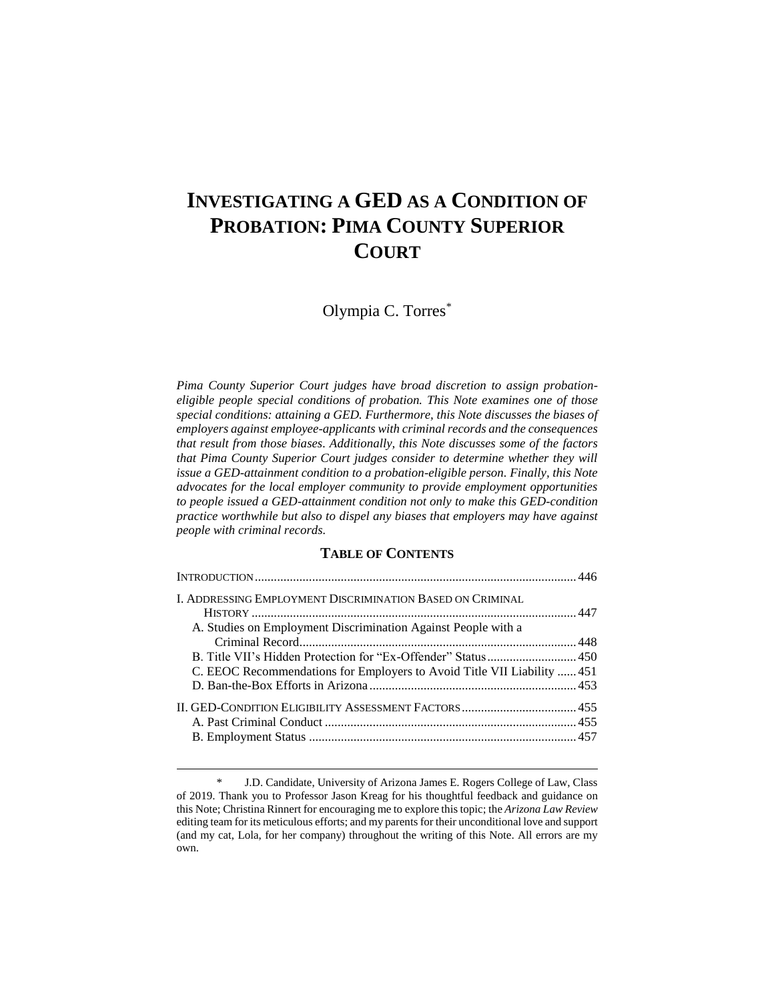# **INVESTIGATING A GED AS A CONDITION OF PROBATION: PIMA COUNTY SUPERIOR COURT**

Olympia C. Torres\*

*Pima County Superior Court judges have broad discretion to assign probationeligible people special conditions of probation. This Note examines one of those special conditions: attaining a GED. Furthermore, this Note discusses the biases of employers against employee-applicants with criminal records and the consequences that result from those biases. Additionally, this Note discusses some of the factors that Pima County Superior Court judges consider to determine whether they will issue a GED-attainment condition to a probation-eligible person. Finally, this Note advocates for the local employer community to provide employment opportunities to people issued a GED-attainment condition not only to make this GED-condition practice worthwhile but also to dispel any biases that employers may have against people with criminal records.*

## **TABLE OF CONTENTS**

| <b>I. ADDRESSING EMPLOYMENT DISCRIMINATION BASED ON CRIMINAL</b>       |  |
|------------------------------------------------------------------------|--|
| A. Studies on Employment Discrimination Against People with a          |  |
|                                                                        |  |
|                                                                        |  |
| C. EEOC Recommendations for Employers to Avoid Title VII Liability 451 |  |
|                                                                        |  |
|                                                                        |  |
|                                                                        |  |
|                                                                        |  |

<sup>\*</sup> J.D. Candidate, University of Arizona James E. Rogers College of Law, Class of 2019. Thank you to Professor Jason Kreag for his thoughtful feedback and guidance on this Note; Christina Rinnert for encouraging me to explore this topic; the *Arizona Law Review* editing team for its meticulous efforts; and my parents for their unconditional love and support (and my cat, Lola, for her company) throughout the writing of this Note. All errors are my own.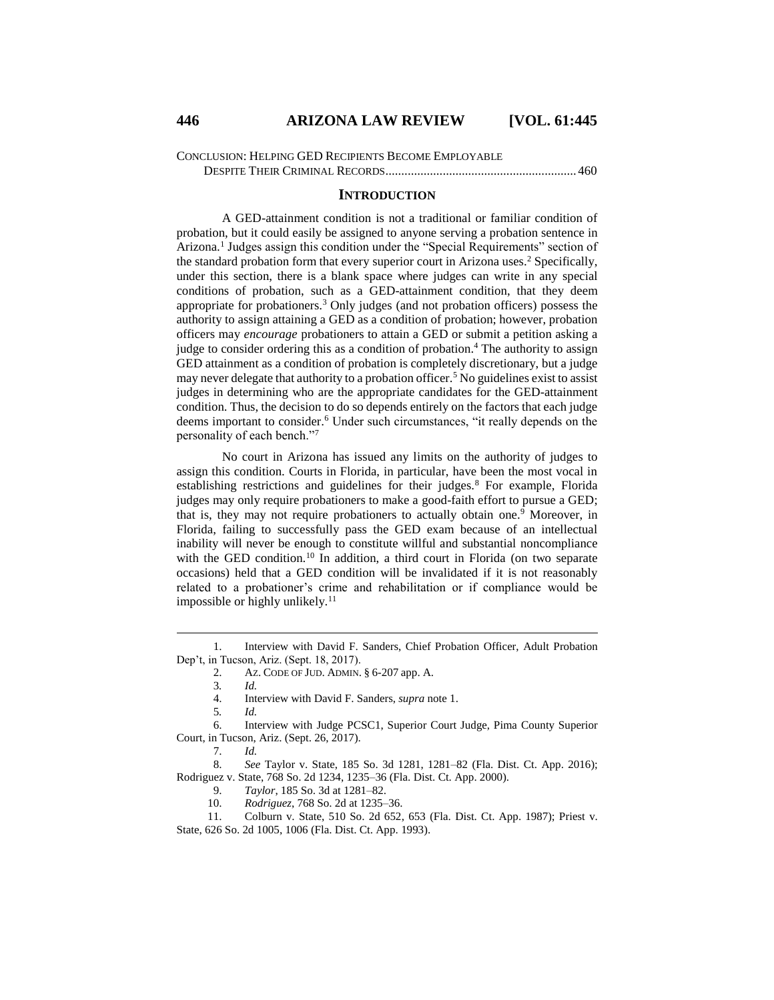CONCLUSION: HELPING GED RECIPIENTS BECOME EMPLOYABLE

DESPITE THEIR CRIMINAL RECORDS............................................................460

## **INTRODUCTION**

A GED-attainment condition is not a traditional or familiar condition of probation, but it could easily be assigned to anyone serving a probation sentence in Arizona.<sup>1</sup> Judges assign this condition under the "Special Requirements" section of the standard probation form that every superior court in Arizona uses.<sup>2</sup> Specifically, under this section, there is a blank space where judges can write in any special conditions of probation, such as a GED-attainment condition, that they deem appropriate for probationers.<sup>3</sup> Only judges (and not probation officers) possess the authority to assign attaining a GED as a condition of probation; however, probation officers may *encourage* probationers to attain a GED or submit a petition asking a judge to consider ordering this as a condition of probation.<sup>4</sup> The authority to assign GED attainment as a condition of probation is completely discretionary, but a judge may never delegate that authority to a probation officer.<sup>5</sup> No guidelines exist to assist judges in determining who are the appropriate candidates for the GED-attainment condition. Thus, the decision to do so depends entirely on the factors that each judge deems important to consider.<sup>6</sup> Under such circumstances, "it really depends on the personality of each bench."<sup>7</sup>

No court in Arizona has issued any limits on the authority of judges to assign this condition. Courts in Florida, in particular, have been the most vocal in establishing restrictions and guidelines for their judges.<sup>8</sup> For example, Florida judges may only require probationers to make a good-faith effort to pursue a GED; that is, they may not require probationers to actually obtain one. <sup>9</sup> Moreover, in Florida, failing to successfully pass the GED exam because of an intellectual inability will never be enough to constitute willful and substantial noncompliance with the GED condition.<sup>10</sup> In addition, a third court in Florida (on two separate occasions) held that a GED condition will be invalidated if it is not reasonably related to a probationer's crime and rehabilitation or if compliance would be impossible or highly unlikely.<sup>11</sup>

 $\overline{a}$ 

10. *Rodriguez*, 768 So. 2d at 1235–36.

11. Colburn v. State, 510 So. 2d 652, 653 (Fla. Dist. Ct. App. 1987); Priest v. State, 626 So. 2d 1005, 1006 (Fla. Dist. Ct. App. 1993).

<sup>1.</sup> Interview with David F. Sanders, Chief Probation Officer, Adult Probation Dep't, in Tucson, Ariz. (Sept. 18, 2017).

<sup>2.</sup> AZ. CODE OF JUD. ADMIN. § 6-207 app. A.

<sup>3</sup>*. Id.*

<sup>4.</sup> Interview with David F. Sanders, *supra* note 1.

<sup>5</sup>*. Id.*

<sup>6.</sup> Interview with Judge PCSC1, Superior Court Judge, Pima County Superior Court, in Tucson, Ariz. (Sept. 26, 2017).

<sup>7.</sup> *Id.*

<sup>8.</sup> *See* Taylor v. State, 185 So. 3d 1281, 1281–82 (Fla. Dist. Ct. App. 2016); Rodriguez v. State, 768 So. 2d 1234, 1235–36 (Fla. Dist. Ct. App. 2000).

<sup>9.</sup> *Taylor*, 185 So. 3d at 1281–82.<br>10. *Rodriguez*, 768 So. 2d at 1235–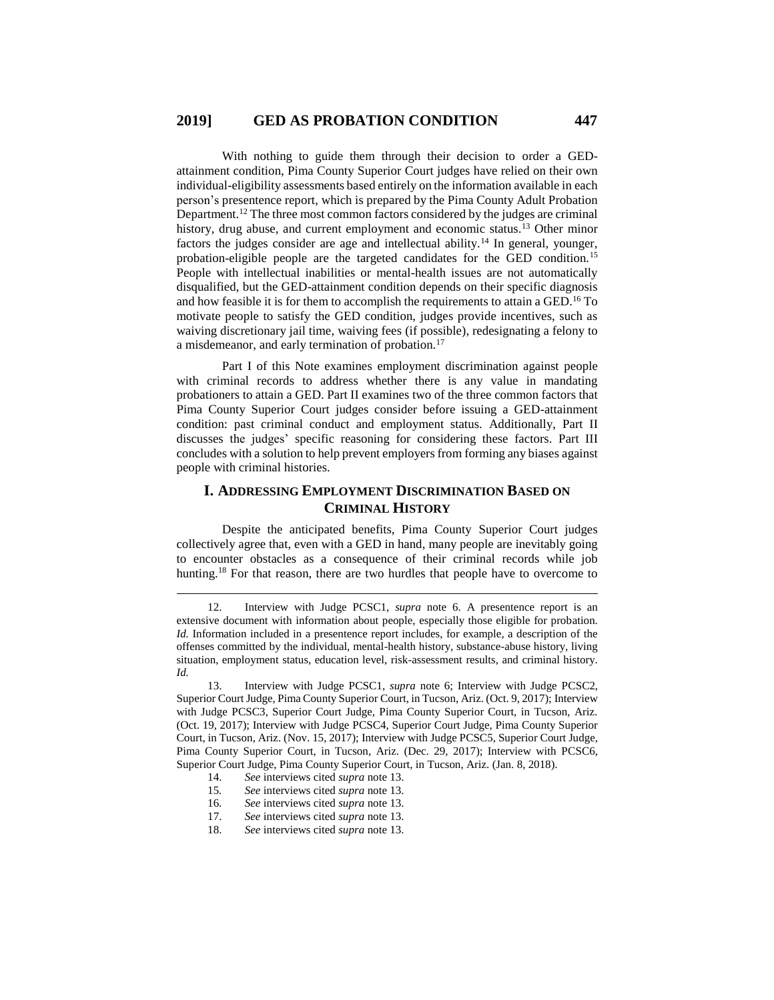With nothing to guide them through their decision to order a GEDattainment condition, Pima County Superior Court judges have relied on their own individual-eligibility assessments based entirely on the information available in each person's presentence report, which is prepared by the Pima County Adult Probation Department.<sup>12</sup> The three most common factors considered by the judges are criminal history, drug abuse, and current employment and economic status.<sup>13</sup> Other minor factors the judges consider are age and intellectual ability.<sup>14</sup> In general, younger, probation-eligible people are the targeted candidates for the GED condition.<sup>15</sup> People with intellectual inabilities or mental-health issues are not automatically disqualified, but the GED-attainment condition depends on their specific diagnosis and how feasible it is for them to accomplish the requirements to attain a GED.<sup>16</sup> To motivate people to satisfy the GED condition, judges provide incentives, such as waiving discretionary jail time, waiving fees (if possible), redesignating a felony to a misdemeanor, and early termination of probation.<sup>17</sup>

Part I of this Note examines employment discrimination against people with criminal records to address whether there is any value in mandating probationers to attain a GED. Part II examines two of the three common factors that Pima County Superior Court judges consider before issuing a GED-attainment condition: past criminal conduct and employment status. Additionally, Part II discusses the judges' specific reasoning for considering these factors. Part III concludes with a solution to help prevent employers from forming any biases against people with criminal histories.

# **I. ADDRESSING EMPLOYMENT DISCRIMINATION BASED ON CRIMINAL HISTORY**

Despite the anticipated benefits, Pima County Superior Court judges collectively agree that, even with a GED in hand, many people are inevitably going to encounter obstacles as a consequence of their criminal records while job hunting.<sup>18</sup> For that reason, there are two hurdles that people have to overcome to

14. *See* interviews cited *supra* note 13.

- 15*. See* interviews cited *supra* note 13.
- 16*. See* interviews cited *supra* note 13.
- 17. *See* interviews cited *supra* note 13.
- 18. *See* interviews cited *supra* note 13.

<sup>12.</sup> Interview with Judge PCSC1, *supra* note 6. A presentence report is an extensive document with information about people, especially those eligible for probation. *Id.* Information included in a presentence report includes, for example, a description of the offenses committed by the individual, mental-health history, substance-abuse history, living situation, employment status, education level, risk-assessment results, and criminal history. *Id.*

<sup>13.</sup> Interview with Judge PCSC1, *supra* note 6; Interview with Judge PCSC2, Superior Court Judge, Pima County Superior Court, in Tucson, Ariz. (Oct. 9, 2017); Interview with Judge PCSC3, Superior Court Judge, Pima County Superior Court, in Tucson, Ariz. (Oct. 19, 2017); Interview with Judge PCSC4, Superior Court Judge, Pima County Superior Court, in Tucson, Ariz. (Nov. 15, 2017); Interview with Judge PCSC5, Superior Court Judge, Pima County Superior Court, in Tucson, Ariz. (Dec. 29, 2017); Interview with PCSC6, Superior Court Judge, Pima County Superior Court, in Tucson, Ariz. (Jan. 8, 2018).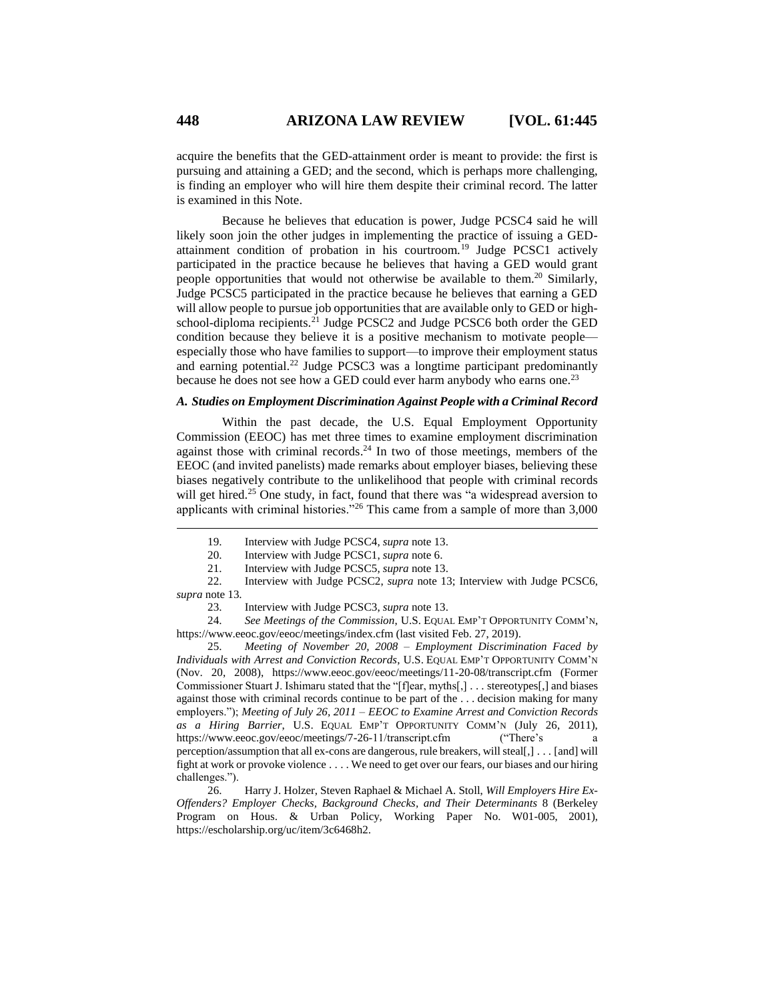acquire the benefits that the GED-attainment order is meant to provide: the first is pursuing and attaining a GED; and the second, which is perhaps more challenging, is finding an employer who will hire them despite their criminal record. The latter is examined in this Note.

Because he believes that education is power, Judge PCSC4 said he will likely soon join the other judges in implementing the practice of issuing a GEDattainment condition of probation in his courtroom.<sup>19</sup> Judge PCSC1 actively participated in the practice because he believes that having a GED would grant people opportunities that would not otherwise be available to them. <sup>20</sup> Similarly, Judge PCSC5 participated in the practice because he believes that earning a GED will allow people to pursue job opportunities that are available only to GED or highschool-diploma recipients.<sup>21</sup> Judge PCSC2 and Judge PCSC6 both order the GED condition because they believe it is a positive mechanism to motivate people especially those who have families to support—to improve their employment status and earning potential.<sup>22</sup> Judge PCSC3 was a longtime participant predominantly because he does not see how a GED could ever harm anybody who earns one.<sup>23</sup>

### *A. Studies on Employment Discrimination Against People with a Criminal Record*

Within the past decade, the U.S. Equal Employment Opportunity Commission (EEOC) has met three times to examine employment discrimination against those with criminal records. $24$  In two of those meetings, members of the EEOC (and invited panelists) made remarks about employer biases, believing these biases negatively contribute to the unlikelihood that people with criminal records will get hired.<sup>25</sup> One study, in fact, found that there was "a widespread aversion to applicants with criminal histories."<sup>26</sup> This came from a sample of more than  $3,000$ 

25. *Meeting of November 20, 2008 – Employment Discrimination Faced by Individuals with Arrest and Conviction Records*, U.S. EQUAL EMP'T OPPORTUNITY COMM'N (Nov. 20, 2008), https://www.eeoc.gov/eeoc/meetings/11-20-08/transcript.cfm (Former Commissioner Stuart J. Ishimaru stated that the "[f]ear, myths[,] . . . stereotypes[,] and biases against those with criminal records continue to be part of the . . . decision making for many employers."); *Meeting of July 26, 2011 – EEOC to Examine Arrest and Conviction Records as a Hiring Barrier*, U.S. EQUAL EMP'T OPPORTUNITY COMM'N (July 26, 2011), https://www.eeoc.gov/eeoc/meetings/7-26-11/transcript.cfm ("There's a https://www.eeoc.gov/eeoc/meetings/7-26-11/transcript.cfm perception/assumption that all ex-cons are dangerous, rule breakers, will steal[,] . . . [and] will fight at work or provoke violence . . . . We need to get over our fears, our biases and our hiring challenges.").

26. Harry J. Holzer, Steven Raphael & Michael A. Stoll, *Will Employers Hire Ex-Offenders? Employer Checks, Background Checks, and Their Determinants* 8 (Berkeley Program on Hous. & Urban Policy, Working Paper No. W01-005, 2001), https://escholarship.org/uc/item/3c6468h2.

<sup>19.</sup> Interview with Judge PCSC4, *supra* note 13.<br>20. Interview with Judge PCSC1, *supra* note 6.

<sup>20.</sup> Interview with Judge PCSC1, *supra* note 6.

<sup>21.</sup> Interview with Judge PCSC5, *supra* note 13.

<sup>22.</sup> Interview with Judge PCSC2, *supra* note 13; Interview with Judge PCSC6, *supra* note 13.

<sup>23.</sup> Interview with Judge PCSC3, *supra* note 13.

<sup>24.</sup> *See Meetings of the Commission*, U.S. EQUAL EMP'T OPPORTUNITY COMM'N, https://www.eeoc.gov/eeoc/meetings/index.cfm (last visited Feb. 27, 2019).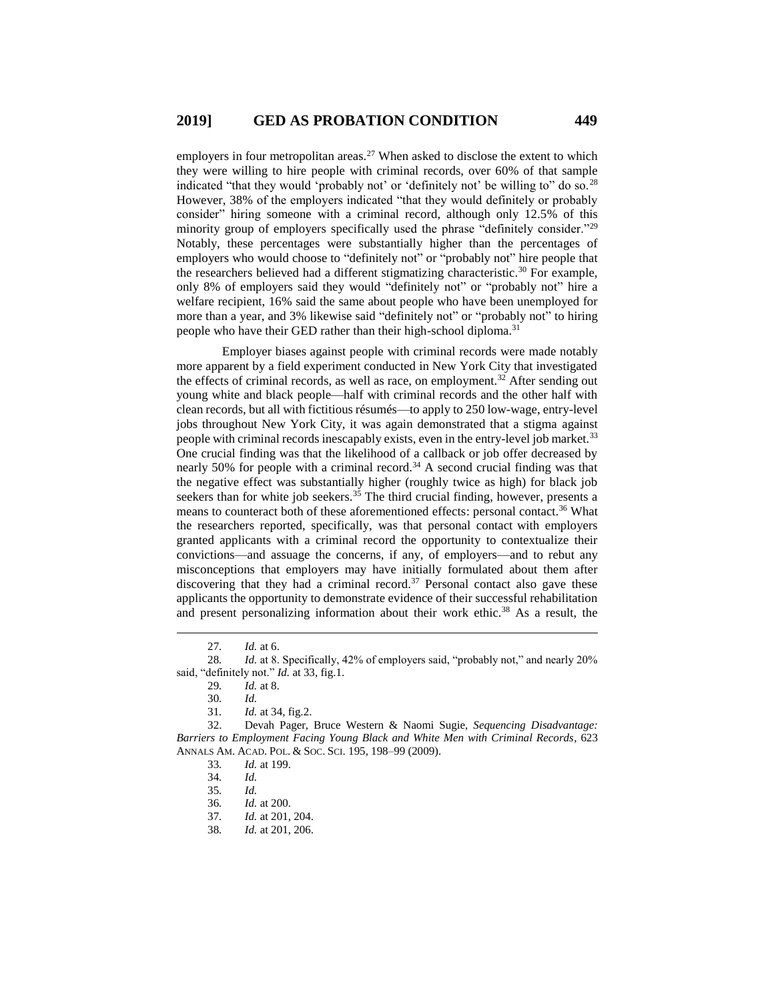employers in four metropolitan areas.<sup>27</sup> When asked to disclose the extent to which they were willing to hire people with criminal records, over 60% of that sample indicated "that they would 'probably not' or 'definitely not' be willing to" do so.<sup>28</sup> However, 38% of the employers indicated "that they would definitely or probably consider" hiring someone with a criminal record, although only 12.5% of this minority group of employers specifically used the phrase "definitely consider."<sup>29</sup> Notably, these percentages were substantially higher than the percentages of employers who would choose to "definitely not" or "probably not" hire people that the researchers believed had a different stigmatizing characteristic.<sup>30</sup> For example, only 8% of employers said they would "definitely not" or "probably not" hire a welfare recipient, 16% said the same about people who have been unemployed for more than a year, and 3% likewise said "definitely not" or "probably not" to hiring people who have their GED rather than their high-school diploma.<sup>31</sup>

Employer biases against people with criminal records were made notably more apparent by a field experiment conducted in New York City that investigated the effects of criminal records, as well as race, on employment.<sup>32</sup> After sending out young white and black people—half with criminal records and the other half with clean records, but all with fictitious résumés—to apply to 250 low-wage, entry-level jobs throughout New York City, it was again demonstrated that a stigma against people with criminal records inescapably exists, even in the entry-level job market.<sup>33</sup> One crucial finding was that the likelihood of a callback or job offer decreased by nearly 50% for people with a criminal record.<sup>34</sup> A second crucial finding was that the negative effect was substantially higher (roughly twice as high) for black job seekers than for white job seekers.<sup>35</sup> The third crucial finding, however, presents a means to counteract both of these aforementioned effects: personal contact.<sup>36</sup> What the researchers reported, specifically, was that personal contact with employers granted applicants with a criminal record the opportunity to contextualize their convictions—and assuage the concerns, if any, of employers—and to rebut any misconceptions that employers may have initially formulated about them after discovering that they had a criminal record. $37$  Personal contact also gave these applicants the opportunity to demonstrate evidence of their successful rehabilitation and present personalizing information about their work ethic.<sup>38</sup> As a result, the

<sup>27</sup>*. Id.* at 6.

<sup>28</sup>*. Id.* at 8. Specifically, 42% of employers said, "probably not," and nearly 20% said, "definitely not." *Id.* at 33, fig.1.

<sup>29</sup>*. Id.* at 8.

<sup>30</sup>*. Id.*

<sup>31</sup>*. Id.* at 34, fig.2.

<sup>32.</sup> Devah Pager, Bruce Western & Naomi Sugie, *Sequencing Disadvantage: Barriers to Employment Facing Young Black and White Men with Criminal Records*, 623 ANNALS AM. ACAD. POL. & SOC. SCI. 195, 198–99 (2009).

<sup>33</sup>*. Id.* at 199.

<sup>34</sup>*. Id.*

<sup>35</sup>*. Id.*

<sup>36</sup>*. Id.* at 200.

<sup>37</sup>*. Id.* at 201, 204.

<sup>38</sup>*. Id.* at 201, 206.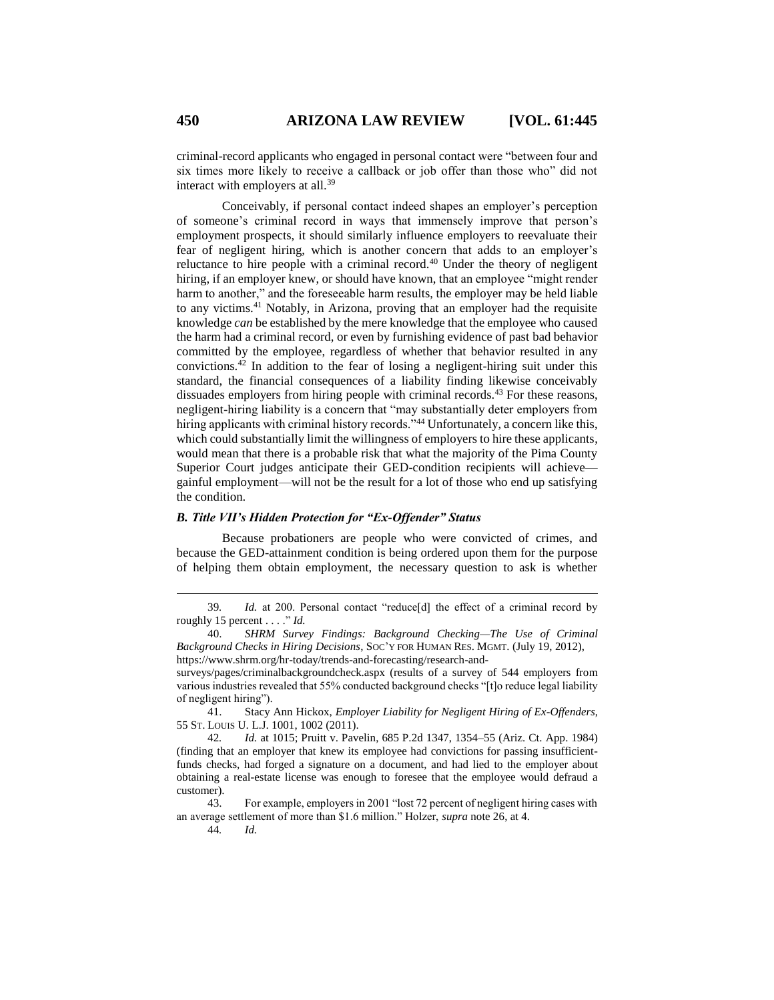criminal-record applicants who engaged in personal contact were "between four and six times more likely to receive a callback or job offer than those who" did not interact with employers at all.<sup>39</sup>

Conceivably, if personal contact indeed shapes an employer's perception of someone's criminal record in ways that immensely improve that person's employment prospects, it should similarly influence employers to reevaluate their fear of negligent hiring, which is another concern that adds to an employer's reluctance to hire people with a criminal record.<sup>40</sup> Under the theory of negligent hiring, if an employer knew, or should have known, that an employee "might render harm to another," and the foreseeable harm results, the employer may be held liable to any victims. <sup>41</sup> Notably, in Arizona, proving that an employer had the requisite knowledge *can* be established by the mere knowledge that the employee who caused the harm had a criminal record, or even by furnishing evidence of past bad behavior committed by the employee, regardless of whether that behavior resulted in any convictions.<sup>42</sup> In addition to the fear of losing a negligent-hiring suit under this standard, the financial consequences of a liability finding likewise conceivably dissuades employers from hiring people with criminal records.<sup>43</sup> For these reasons, negligent-hiring liability is a concern that "may substantially deter employers from hiring applicants with criminal history records."<sup>44</sup> Unfortunately, a concern like this, which could substantially limit the willingness of employers to hire these applicants, would mean that there is a probable risk that what the majority of the Pima County Superior Court judges anticipate their GED-condition recipients will achieve gainful employment—will not be the result for a lot of those who end up satisfying the condition.

## *B. Title VII's Hidden Protection for "Ex-Offender" Status*

Because probationers are people who were convicted of crimes, and because the GED-attainment condition is being ordered upon them for the purpose of helping them obtain employment, the necessary question to ask is whether

44*. Id.*

<sup>39</sup>*. Id.* at 200. Personal contact "reduce[d] the effect of a criminal record by roughly 15 percent . . . ." *Id.*

<sup>40.</sup> *SHRM Survey Findings: Background Checking—The Use of Criminal Background Checks in Hiring Decisions*, SOC'Y FOR HUMAN RES. MGMT. (July 19, 2012), https://www.shrm.org/hr-today/trends-and-forecasting/research-and-

surveys/pages/criminalbackgroundcheck.aspx (results of a survey of 544 employers from various industries revealed that 55% conducted background checks "[t]o reduce legal liability of negligent hiring").

<sup>41.</sup> Stacy Ann Hickox, *Employer Liability for Negligent Hiring of Ex-Offenders*, 55 ST. LOUIS U. L.J. 1001, 1002 (2011).

<sup>42</sup>*. Id.* at 1015; Pruitt v. Pavelin, 685 P.2d 1347, 1354–55 (Ariz. Ct. App. 1984) (finding that an employer that knew its employee had convictions for passing insufficientfunds checks, had forged a signature on a document, and had lied to the employer about obtaining a real-estate license was enough to foresee that the employee would defraud a customer).

<sup>43.</sup> For example, employers in 2001 "lost 72 percent of negligent hiring cases with an average settlement of more than \$1.6 million." Holzer, *supra* note 26, at 4.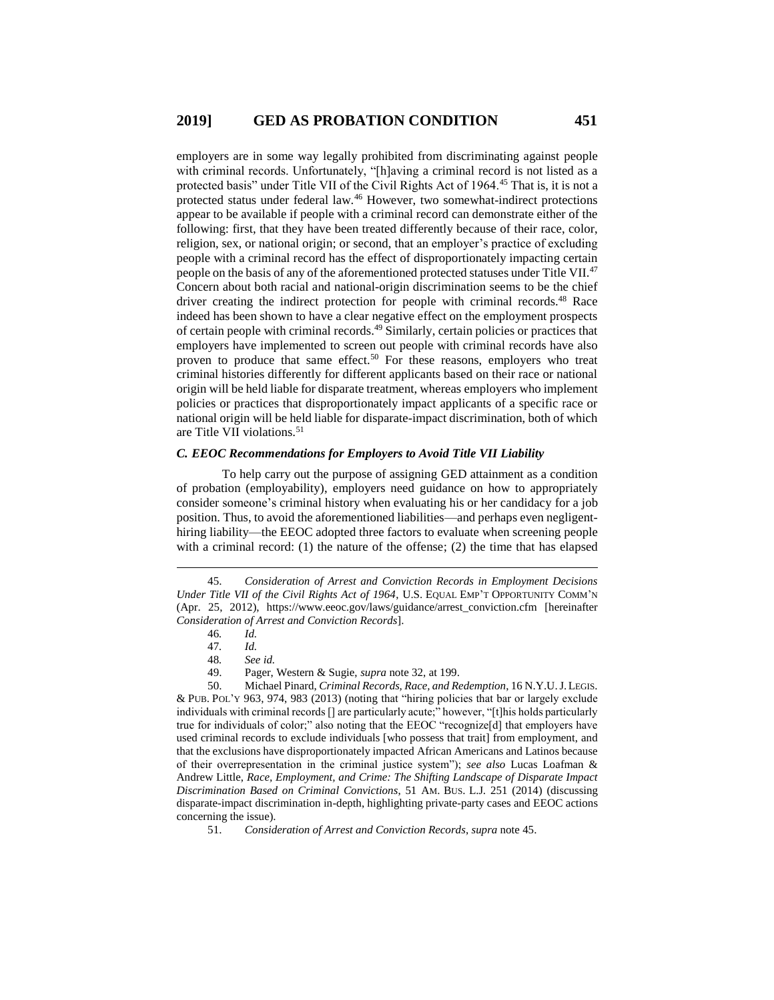employers are in some way legally prohibited from discriminating against people with criminal records. Unfortunately, "[h]aving a criminal record is not listed as a protected basis" under Title VII of the Civil Rights Act of 1964.<sup>45</sup> That is, it is not a protected status under federal law.<sup>46</sup> However, two somewhat-indirect protections appear to be available if people with a criminal record can demonstrate either of the following: first, that they have been treated differently because of their race, color, religion, sex, or national origin; or second, that an employer's practice of excluding people with a criminal record has the effect of disproportionately impacting certain people on the basis of any of the aforementioned protected statuses under Title VII.<sup>47</sup> Concern about both racial and national-origin discrimination seems to be the chief driver creating the indirect protection for people with criminal records.<sup>48</sup> Race indeed has been shown to have a clear negative effect on the employment prospects of certain people with criminal records. <sup>49</sup> Similarly, certain policies or practices that employers have implemented to screen out people with criminal records have also proven to produce that same effect.<sup>50</sup> For these reasons, employers who treat criminal histories differently for different applicants based on their race or national origin will be held liable for disparate treatment, whereas employers who implement policies or practices that disproportionately impact applicants of a specific race or national origin will be held liable for disparate-impact discrimination, both of which are Title VII violations.<sup>51</sup>

## *C. EEOC Recommendations for Employers to Avoid Title VII Liability*

To help carry out the purpose of assigning GED attainment as a condition of probation (employability), employers need guidance on how to appropriately consider someone's criminal history when evaluating his or her candidacy for a job position. Thus, to avoid the aforementioned liabilities—and perhaps even negligenthiring liability—the EEOC adopted three factors to evaluate when screening people with a criminal record: (1) the nature of the offense; (2) the time that has elapsed

 $\overline{a}$ 

50. Michael Pinard, *Criminal Records, Race, and Redemption*, 16 N.Y.U.J.LEGIS. & PUB. POL'Y 963, 974, 983 (2013) (noting that "hiring policies that bar or largely exclude individuals with criminal records [] are particularly acute;" however, "[t]his holds particularly true for individuals of color;" also noting that the EEOC "recognize[d] that employers have used criminal records to exclude individuals [who possess that trait] from employment, and that the exclusions have disproportionately impacted African Americans and Latinos because of their overrepresentation in the criminal justice system"); *see also* Lucas Loafman & Andrew Little, *Race, Employment, and Crime: The Shifting Landscape of Disparate Impact Discrimination Based on Criminal Convictions*, 51 AM. BUS. L.J. 251 (2014) (discussing disparate-impact discrimination in-depth, highlighting private-party cases and EEOC actions concerning the issue).

<sup>45.</sup> *Consideration of Arrest and Conviction Records in Employment Decisions Under Title VII of the Civil Rights Act of 1964*, U.S. EQUAL EMP'T OPPORTUNITY COMM'N (Apr. 25, 2012), https://www.eeoc.gov/laws/guidance/arrest\_conviction.cfm [hereinafter *Consideration of Arrest and Conviction Records*].

<sup>46</sup>*. Id.*

<sup>47</sup>*. Id.*

<sup>48</sup>*. See id.* 49. Pager, Western & Sugie, *supra* note 32, at 199.

<sup>51.</sup> *Consideration of Arrest and Conviction Records*, *supra* note 45.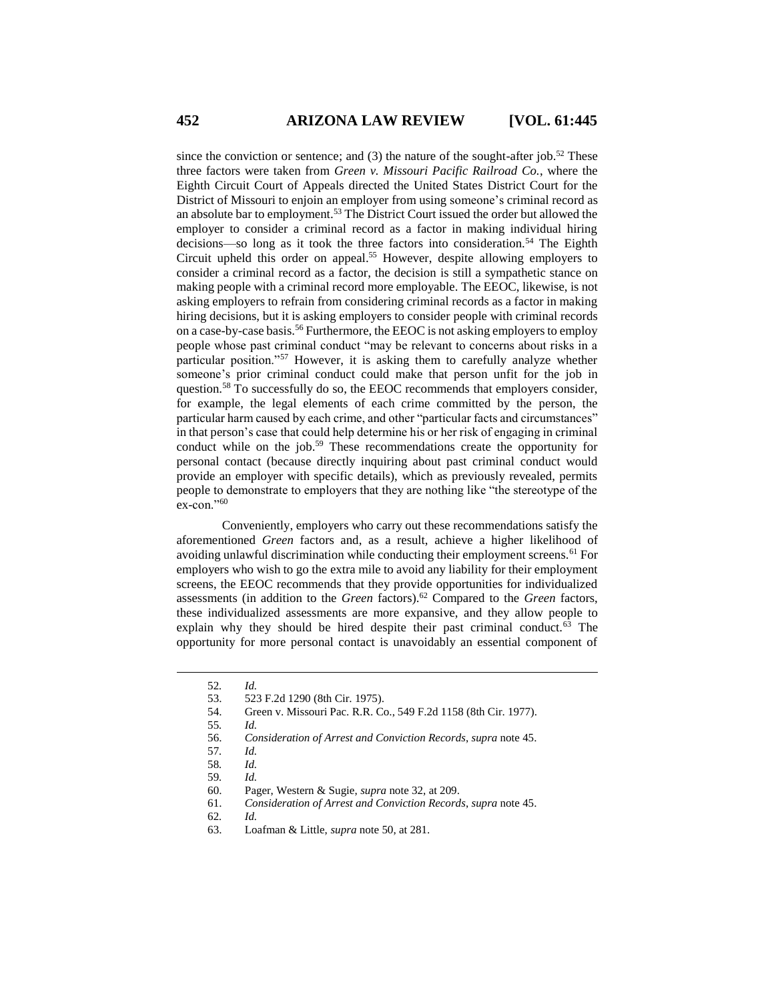since the conviction or sentence; and  $(3)$  the nature of the sought-after job.<sup>52</sup> These three factors were taken from *Green v. Missouri Pacific Railroad Co.*, where the Eighth Circuit Court of Appeals directed the United States District Court for the District of Missouri to enjoin an employer from using someone's criminal record as an absolute bar to employment.<sup>53</sup> The District Court issued the order but allowed the employer to consider a criminal record as a factor in making individual hiring decisions—so long as it took the three factors into consideration.<sup>54</sup> The Eighth Circuit upheld this order on appeal. <sup>55</sup> However, despite allowing employers to consider a criminal record as a factor, the decision is still a sympathetic stance on making people with a criminal record more employable. The EEOC, likewise, is not asking employers to refrain from considering criminal records as a factor in making hiring decisions, but it is asking employers to consider people with criminal records on a case-by-case basis.<sup>56</sup> Furthermore, the EEOC is not asking employers to employ people whose past criminal conduct "may be relevant to concerns about risks in a particular position."<sup>57</sup> However, it is asking them to carefully analyze whether someone's prior criminal conduct could make that person unfit for the job in question.<sup>58</sup> To successfully do so, the EEOC recommends that employers consider, for example, the legal elements of each crime committed by the person, the particular harm caused by each crime, and other "particular facts and circumstances" in that person's case that could help determine his or her risk of engaging in criminal conduct while on the job.<sup>59</sup> These recommendations create the opportunity for personal contact (because directly inquiring about past criminal conduct would provide an employer with specific details), which as previously revealed, permits people to demonstrate to employers that they are nothing like "the stereotype of the ex-con."60

Conveniently, employers who carry out these recommendations satisfy the aforementioned *Green* factors and, as a result, achieve a higher likelihood of avoiding unlawful discrimination while conducting their employment screens.<sup>61</sup> For employers who wish to go the extra mile to avoid any liability for their employment screens, the EEOC recommends that they provide opportunities for individualized assessments (in addition to the *Green* factors). <sup>62</sup> Compared to the *Green* factors, these individualized assessments are more expansive, and they allow people to explain why they should be hired despite their past criminal conduct.<sup>63</sup> The opportunity for more personal contact is unavoidably an essential component of

<sup>52</sup>*. Id.*

<sup>53.</sup> 523 F.2d 1290 (8th Cir. 1975).

<sup>54.</sup> Green v. Missouri Pac. R.R. Co., 549 F.2d 1158 (8th Cir. 1977).

<sup>55</sup>*. Id.*

<sup>56.</sup> *Consideration of Arrest and Conviction Records*, *supra* note 45.

<sup>57</sup>*. Id.*

<sup>58</sup>*. Id.*

<sup>59</sup>*. Id.*

<sup>60.</sup> Pager, Western & Sugie, *supra* note 32, at 209.

<sup>61.</sup> *Consideration of Arrest and Conviction Records*, *supra* note 45.

<sup>62</sup>*. Id.*

<sup>63.</sup> Loafman & Little, *supra* note 50, at 281.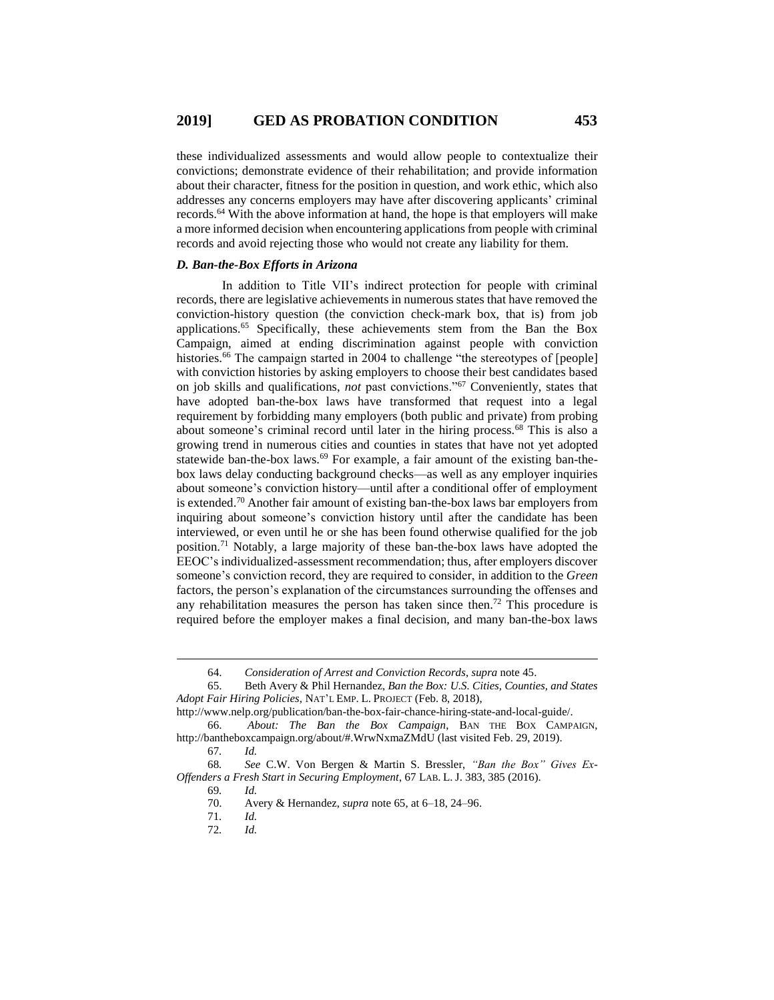these individualized assessments and would allow people to contextualize their convictions; demonstrate evidence of their rehabilitation; and provide information about their character, fitness for the position in question, and work ethic, which also addresses any concerns employers may have after discovering applicants' criminal records.<sup>64</sup> With the above information at hand, the hope is that employers will make a more informed decision when encountering applications from people with criminal records and avoid rejecting those who would not create any liability for them.

## *D. Ban-the-Box Efforts in Arizona*

In addition to Title VII's indirect protection for people with criminal records, there are legislative achievements in numerous states that have removed the conviction-history question (the conviction check-mark box, that is) from job applications.<sup>65</sup> Specifically, these achievements stem from the Ban the Box Campaign, aimed at ending discrimination against people with conviction histories.<sup>66</sup> The campaign started in 2004 to challenge "the stereotypes of [people] with conviction histories by asking employers to choose their best candidates based on job skills and qualifications, *not* past convictions."<sup>67</sup> Conveniently, states that have adopted ban-the-box laws have transformed that request into a legal requirement by forbidding many employers (both public and private) from probing about someone's criminal record until later in the hiring process.<sup>68</sup> This is also a growing trend in numerous cities and counties in states that have not yet adopted statewide ban-the-box laws.<sup>69</sup> For example, a fair amount of the existing ban-thebox laws delay conducting background checks—as well as any employer inquiries about someone's conviction history—until after a conditional offer of employment is extended. <sup>70</sup> Another fair amount of existing ban-the-box laws bar employers from inquiring about someone's conviction history until after the candidate has been interviewed, or even until he or she has been found otherwise qualified for the job position.<sup>71</sup> Notably, a large majority of these ban-the-box laws have adopted the EEOC's individualized-assessment recommendation; thus, after employers discover someone's conviction record, they are required to consider, in addition to the *Green* factors, the person's explanation of the circumstances surrounding the offenses and any rehabilitation measures the person has taken since then.<sup>72</sup> This procedure is required before the employer makes a final decision, and many ban-the-box laws

<sup>64.</sup> *Consideration of Arrest and Conviction Records*, *supra* note 45.

<sup>65.</sup> Beth Avery & Phil Hernandez, *Ban the Box: U.S. Cities, Counties, and States Adopt Fair Hiring Policies*, NAT'L EMP. L. PROJECT (Feb. 8, 2018),

http://www.nelp.org/publication/ban-the-box-fair-chance-hiring-state-and-local-guide/.

<sup>66.</sup> *About: The Ban the Box Campaign*, BAN THE BOX CAMPAIGN, http://bantheboxcampaign.org/about/#.WrwNxmaZMdU (last visited Feb. 29, 2019).

<sup>67</sup>*. Id.*

<sup>68</sup>*. See* C.W. Von Bergen & Martin S. Bressler, *"Ban the Box" Gives Ex-Offenders a Fresh Start in Securing Employment*, 67 LAB. L. J. 383, 385 (2016).

<sup>69</sup>*. Id.*

<sup>70.</sup> Avery & Hernandez, *supra* note 65, at 6–18, 24–96.

<sup>71</sup>*. Id.*

<sup>72</sup>*. Id.*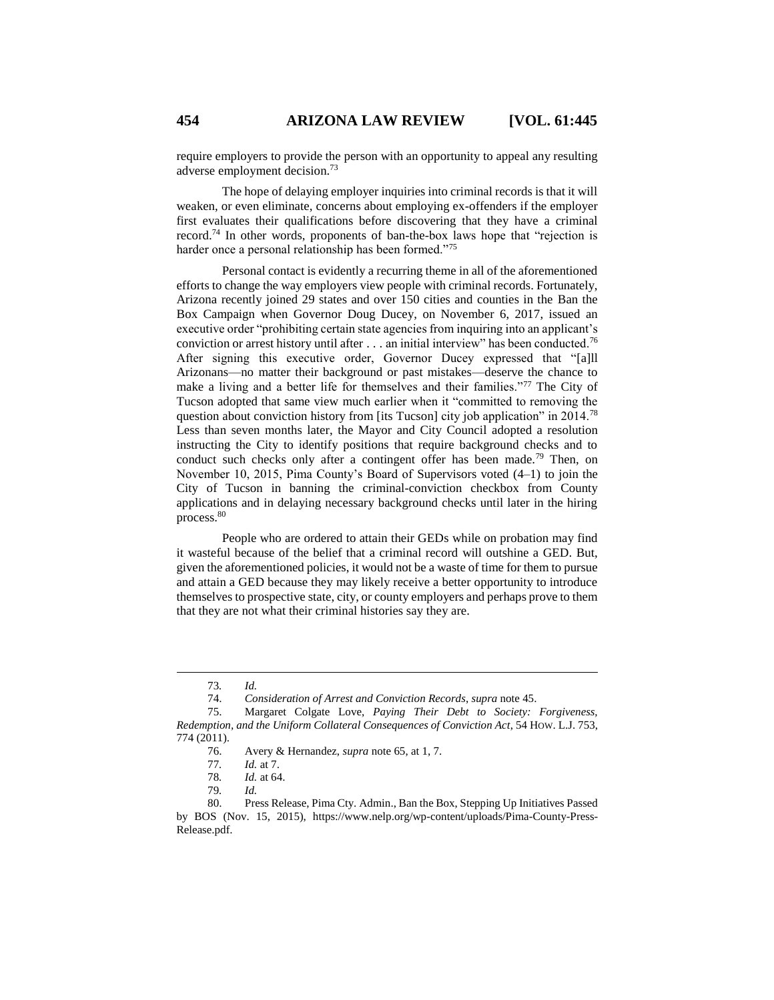require employers to provide the person with an opportunity to appeal any resulting adverse employment decision.<sup>73</sup>

The hope of delaying employer inquiries into criminal records is that it will weaken, or even eliminate, concerns about employing ex-offenders if the employer first evaluates their qualifications before discovering that they have a criminal record.<sup>74</sup> In other words, proponents of ban-the-box laws hope that "rejection is harder once a personal relationship has been formed."<sup>75</sup>

Personal contact is evidently a recurring theme in all of the aforementioned efforts to change the way employers view people with criminal records. Fortunately, Arizona recently joined 29 states and over 150 cities and counties in the Ban the Box Campaign when Governor Doug Ducey, on November 6, 2017, issued an executive order "prohibiting certain state agencies from inquiring into an applicant's conviction or arrest history until after  $\ldots$  an initial interview" has been conducted.<sup>76</sup> After signing this executive order, Governor Ducey expressed that "[a]ll Arizonans—no matter their background or past mistakes—deserve the chance to make a living and a better life for themselves and their families."<sup>77</sup> The City of Tucson adopted that same view much earlier when it "committed to removing the question about conviction history from [its Tucson] city job application" in 2014.<sup>78</sup> Less than seven months later, the Mayor and City Council adopted a resolution instructing the City to identify positions that require background checks and to conduct such checks only after a contingent offer has been made.<sup>79</sup> Then, on November 10, 2015, Pima County's Board of Supervisors voted (4–1) to join the City of Tucson in banning the criminal-conviction checkbox from County applications and in delaying necessary background checks until later in the hiring process.<sup>80</sup>

People who are ordered to attain their GEDs while on probation may find it wasteful because of the belief that a criminal record will outshine a GED. But, given the aforementioned policies, it would not be a waste of time for them to pursue and attain a GED because they may likely receive a better opportunity to introduce themselves to prospective state, city, or county employers and perhaps prove to them that they are not what their criminal histories say they are.

 $\overline{a}$ 

79*. Id.*

<sup>73</sup>*. Id.*

<sup>74.</sup> *Consideration of Arrest and Conviction Records*, *supra* note 45.

<sup>75.</sup> Margaret Colgate Love, *Paying Their Debt to Society: Forgiveness, Redemption, and the Uniform Collateral Consequences of Conviction Act*, 54 HOW. L.J. 753, 774 (2011).

<sup>76.</sup> Avery & Hernandez, *supra* note 65, at 1, 7.

<sup>77</sup>*. Id.* at 7.

<sup>78</sup>*. Id.* at 64.

<sup>80.</sup> Press Release, Pima Cty. Admin., Ban the Box, Stepping Up Initiatives Passed by BOS (Nov. 15, 2015), https://www.nelp.org/wp-content/uploads/Pima-County-Press-Release.pdf.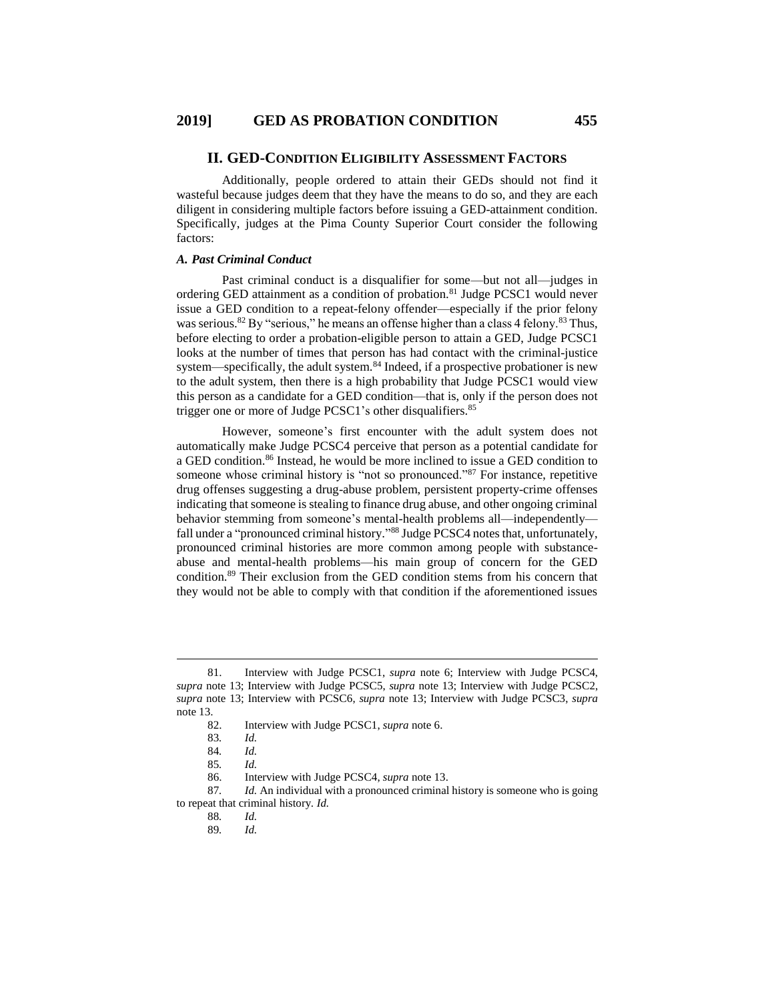#### **II. GED-CONDITION ELIGIBILITY ASSESSMENT FACTORS**

Additionally, people ordered to attain their GEDs should not find it wasteful because judges deem that they have the means to do so, and they are each diligent in considering multiple factors before issuing a GED-attainment condition. Specifically, judges at the Pima County Superior Court consider the following factors:

#### *A. Past Criminal Conduct*

Past criminal conduct is a disqualifier for some—but not all—judges in ordering GED attainment as a condition of probation.<sup>81</sup> Judge PCSC1 would never issue a GED condition to a repeat-felony offender—especially if the prior felony was serious.<sup>82</sup> By "serious," he means an offense higher than a class 4 felony.<sup>83</sup> Thus, before electing to order a probation-eligible person to attain a GED, Judge PCSC1 looks at the number of times that person has had contact with the criminal-justice system—specifically, the adult system.<sup>84</sup> Indeed, if a prospective probationer is new to the adult system, then there is a high probability that Judge PCSC1 would view this person as a candidate for a GED condition—that is, only if the person does not trigger one or more of Judge PCSC1's other disqualifiers.<sup>85</sup>

However, someone's first encounter with the adult system does not automatically make Judge PCSC4 perceive that person as a potential candidate for a GED condition. <sup>86</sup> Instead, he would be more inclined to issue a GED condition to someone whose criminal history is "not so pronounced."<sup>87</sup> For instance, repetitive drug offenses suggesting a drug-abuse problem, persistent property-crime offenses indicating that someone is stealing to finance drug abuse, and other ongoing criminal behavior stemming from someone's mental-health problems all—independently fall under a "pronounced criminal history."<sup>88</sup> Judge PCSC4 notes that, unfortunately, pronounced criminal histories are more common among people with substanceabuse and mental-health problems—his main group of concern for the GED condition.<sup>89</sup> Their exclusion from the GED condition stems from his concern that they would not be able to comply with that condition if the aforementioned issues

<sup>81.</sup> Interview with Judge PCSC1, *supra* note 6; Interview with Judge PCSC4, *supra* note 13; Interview with Judge PCSC5, *supra* note 13; Interview with Judge PCSC2, *supra* note 13; Interview with PCSC6, *supra* note 13; Interview with Judge PCSC3, *supra* note 13.

<sup>82.</sup> Interview with Judge PCSC1, *supra* note 6.

<sup>83</sup>*. Id.*

<sup>84</sup>*. Id.*

<sup>85</sup>*. Id.*

<sup>86.</sup> Interview with Judge PCSC4, *supra* note 13.

<sup>87</sup>*. Id.* An individual with a pronounced criminal history is someone who is going to repeat that criminal history. *Id.*

<sup>88</sup>*. Id.*

<sup>89</sup>*. Id.*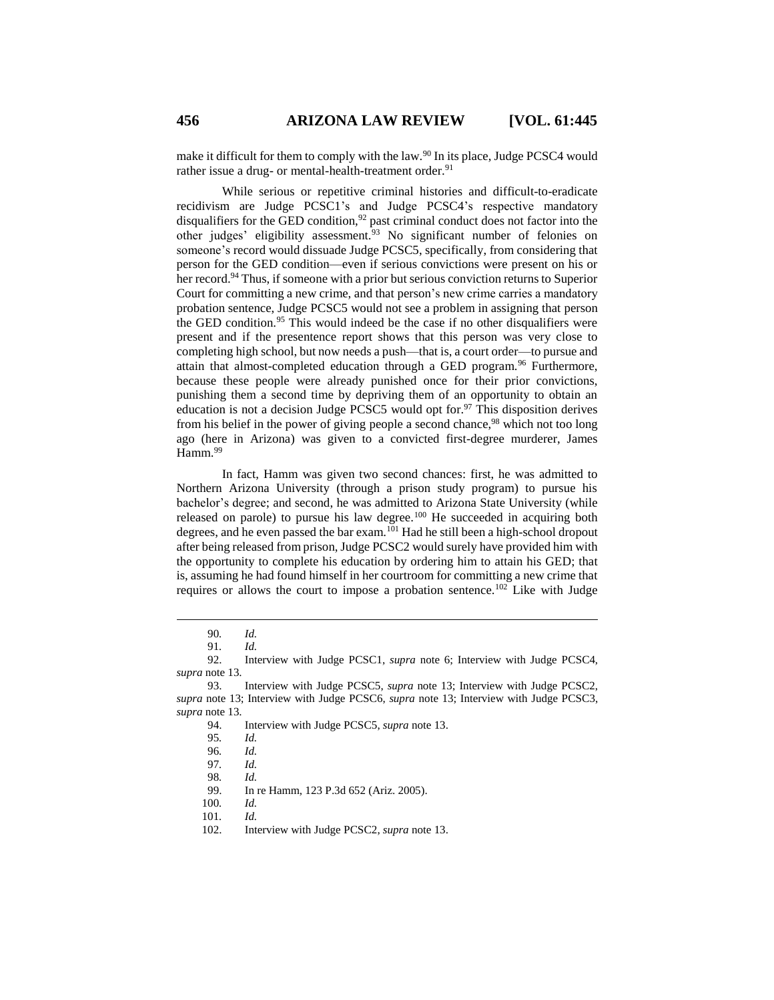make it difficult for them to comply with the law.<sup>90</sup> In its place, Judge PCSC4 would rather issue a drug- or mental-health-treatment order.<sup>91</sup>

While serious or repetitive criminal histories and difficult-to-eradicate recidivism are Judge PCSC1's and Judge PCSC4's respective mandatory disqualifiers for the GED condition,<sup>92</sup> past criminal conduct does not factor into the other judges' eligibility assessment.<sup>93</sup> No significant number of felonies on someone's record would dissuade Judge PCSC5, specifically, from considering that person for the GED condition—even if serious convictions were present on his or her record.<sup>94</sup> Thus, if someone with a prior but serious conviction returns to Superior Court for committing a new crime, and that person's new crime carries a mandatory probation sentence, Judge PCSC5 would not see a problem in assigning that person the GED condition.<sup>95</sup> This would indeed be the case if no other disqualifiers were present and if the presentence report shows that this person was very close to completing high school, but now needs a push—that is, a court order—to pursue and attain that almost-completed education through a GED program.<sup>96</sup> Furthermore, because these people were already punished once for their prior convictions, punishing them a second time by depriving them of an opportunity to obtain an education is not a decision Judge PCSC5 would opt for.<sup>97</sup> This disposition derives from his belief in the power of giving people a second chance,<sup>98</sup> which not too long ago (here in Arizona) was given to a convicted first-degree murderer, James Hamm.<sup>99</sup>

In fact, Hamm was given two second chances: first, he was admitted to Northern Arizona University (through a prison study program) to pursue his bachelor's degree; and second, he was admitted to Arizona State University (while released on parole) to pursue his law degree. $100$  He succeeded in acquiring both degrees, and he even passed the bar exam.<sup>101</sup> Had he still been a high-school dropout after being released from prison, Judge PCSC2 would surely have provided him with the opportunity to complete his education by ordering him to attain his GED; that is, assuming he had found himself in her courtroom for committing a new crime that requires or allows the court to impose a probation sentence.<sup>102</sup> Like with Judge

 $\overline{a}$ 

100*. Id.*

<sup>90</sup>*. Id.*

<sup>91</sup>*. Id.*

<sup>92.</sup> Interview with Judge PCSC1, *supra* note 6; Interview with Judge PCSC4, *supra* note 13.

<sup>93.</sup> Interview with Judge PCSC5, *supra* note 13; Interview with Judge PCSC2, *supra* note 13; Interview with Judge PCSC6, *supra* note 13; Interview with Judge PCSC3, *supra* note 13.

<sup>94.</sup> Interview with Judge PCSC5, *supra* note 13.

<sup>95</sup>*. Id.*

<sup>96</sup>*. Id.*

<sup>97</sup>*. Id.*

<sup>98</sup>*. Id.*

<sup>99.</sup> In re Hamm, 123 P.3d 652 (Ariz. 2005).

<sup>101</sup>*. Id.*

<sup>102.</sup> Interview with Judge PCSC2, *supra* note 13.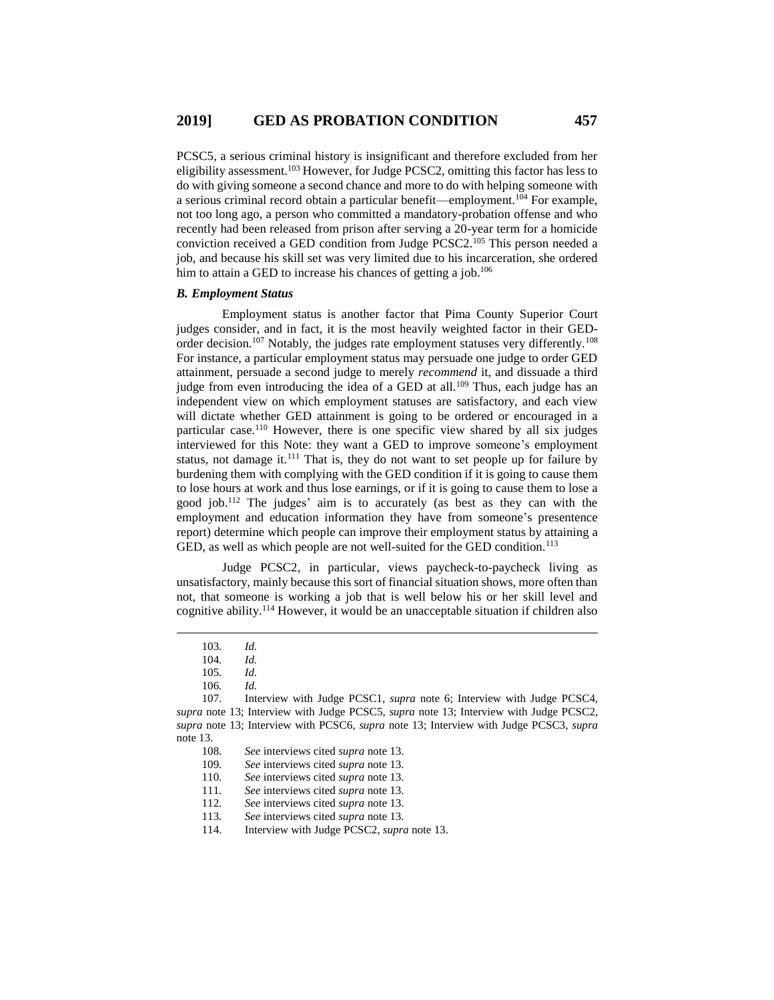PCSC5, a serious criminal history is insignificant and therefore excluded from her eligibility assessment.<sup>103</sup> However, for Judge PCSC2, omitting this factor has less to do with giving someone a second chance and more to do with helping someone with a serious criminal record obtain a particular benefit—employment.<sup>104</sup> For example, not too long ago, a person who committed a mandatory-probation offense and who recently had been released from prison after serving a 20-year term for a homicide conviction received a GED condition from Judge PCSC2. <sup>105</sup> This person needed a job, and because his skill set was very limited due to his incarceration, she ordered him to attain a GED to increase his chances of getting a job.<sup>106</sup>

#### *B. Employment Status*

Employment status is another factor that Pima County Superior Court judges consider, and in fact, it is the most heavily weighted factor in their GEDorder decision.<sup>107</sup> Notably, the judges rate employment statuses very differently.<sup>108</sup> For instance, a particular employment status may persuade one judge to order GED attainment, persuade a second judge to merely *recommend* it, and dissuade a third induction even introducing the idea of a GED at all.<sup>109</sup> Thus, each judge has an independent view on which employment statuses are satisfactory, and each view will dictate whether GED attainment is going to be ordered or encouraged in a particular case.<sup>110</sup> However, there is one specific view shared by all six judges interviewed for this Note: they want a GED to improve someone's employment status, not damage it.<sup>111</sup> That is, they do not want to set people up for failure by burdening them with complying with the GED condition if it is going to cause them to lose hours at work and thus lose earnings, or if it is going to cause them to lose a good job.<sup>112</sup> The judges' aim is to accurately (as best as they can with the employment and education information they have from someone's presentence report) determine which people can improve their employment status by attaining a GED, as well as which people are not well-suited for the GED condition.<sup>113</sup>

Judge PCSC2, in particular, views paycheck-to-paycheck living as unsatisfactory, mainly because this sort of financial situation shows, more often than not, that someone is working a job that is well below his or her skill level and cognitive ability. <sup>114</sup> However, it would be an unacceptable situation if children also

<sup>103</sup>*. Id.*

<sup>104</sup>*. Id.*

<sup>105</sup>*. Id.*

<sup>106</sup>*. Id.*

<sup>107.</sup> Interview with Judge PCSC1, *supra* note 6; Interview with Judge PCSC4, *supra* note 13; Interview with Judge PCSC5, *supra* note 13; Interview with Judge PCSC2, *supra* note 13; Interview with PCSC6, *supra* note 13; Interview with Judge PCSC3, *supra* note 13.

<sup>108</sup>*. See* interviews cited *supra* note 13.

<sup>109</sup>*. See* interviews cited *supra* note 13.

<sup>110</sup>*. See* interviews cited *supra* note 13.

<sup>111</sup>*. See* interviews cited *supra* note 13.

<sup>112</sup>*. See* interviews cited *supra* note 13.

<sup>113</sup>*. See* interviews cited *supra* note 13.

<sup>114.</sup> Interview with Judge PCSC2, *supra* note 13.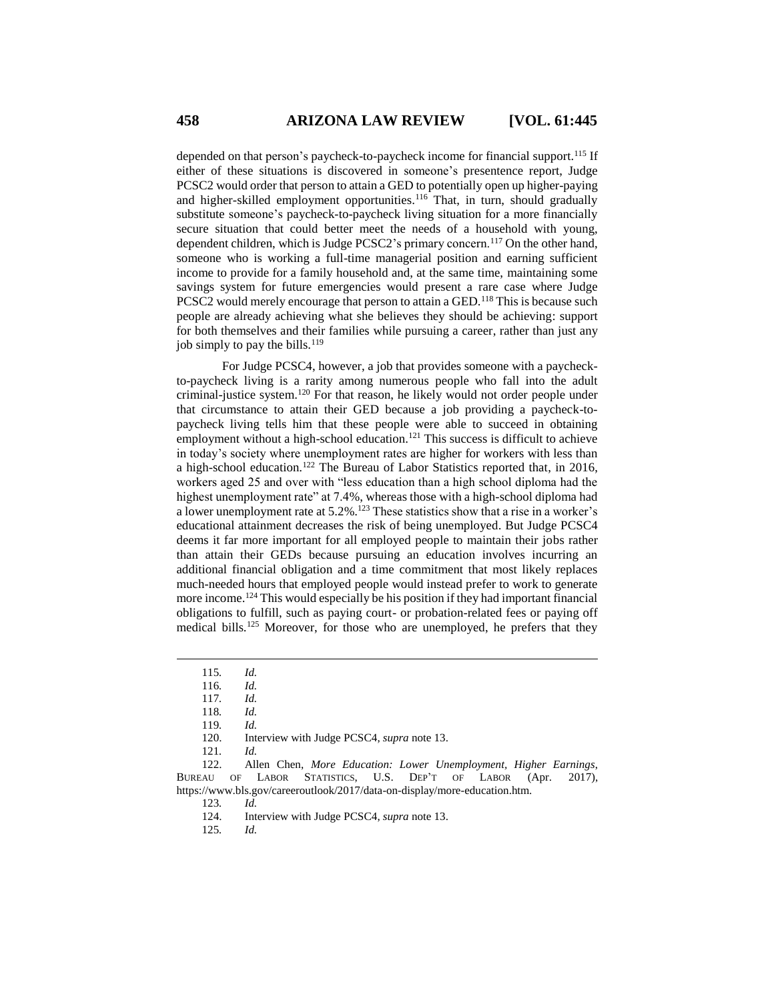depended on that person's paycheck-to-paycheck income for financial support.<sup>115</sup> If either of these situations is discovered in someone's presentence report, Judge PCSC2 would order that person to attain a GED to potentially open up higher-paying and higher-skilled employment opportunities.<sup>116</sup> That, in turn, should gradually substitute someone's paycheck-to-paycheck living situation for a more financially secure situation that could better meet the needs of a household with young, dependent children, which is Judge PCSC2's primary concern.<sup>117</sup> On the other hand, someone who is working a full-time managerial position and earning sufficient income to provide for a family household and, at the same time, maintaining some savings system for future emergencies would present a rare case where Judge PCSC2 would merely encourage that person to attain a GED.<sup>118</sup> This is because such people are already achieving what she believes they should be achieving: support for both themselves and their families while pursuing a career, rather than just any job simply to pay the bills.<sup>119</sup>

For Judge PCSC4, however, a job that provides someone with a paycheckto-paycheck living is a rarity among numerous people who fall into the adult criminal-justice system.<sup>120</sup> For that reason, he likely would not order people under that circumstance to attain their GED because a job providing a paycheck-topaycheck living tells him that these people were able to succeed in obtaining employment without a high-school education.<sup>121</sup> This success is difficult to achieve in today's society where unemployment rates are higher for workers with less than a high-school education.<sup>122</sup> The Bureau of Labor Statistics reported that, in 2016, workers aged 25 and over with "less education than a high school diploma had the highest unemployment rate" at 7.4%, whereas those with a high-school diploma had a lower unemployment rate at 5.2%.<sup>123</sup> These statistics show that a rise in a worker's educational attainment decreases the risk of being unemployed. But Judge PCSC4 deems it far more important for all employed people to maintain their jobs rather than attain their GEDs because pursuing an education involves incurring an additional financial obligation and a time commitment that most likely replaces much-needed hours that employed people would instead prefer to work to generate more income.<sup>124</sup> This would especially be his position if they had important financial obligations to fulfill, such as paying court- or probation-related fees or paying off medical bills.<sup>125</sup> Moreover, for those who are unemployed, he prefers that they

 $\overline{a}$ 

123*. Id.*

124. Interview with Judge PCSC4, *supra* note 13.

125*. Id.*

<sup>115</sup>*. Id.*

<sup>116</sup>*. Id.*

<sup>117</sup>*. Id.*

<sup>118</sup>*. Id.*

<sup>119</sup>*. Id.*

Interview with Judge PCSC4, *supra* note 13.

<sup>121</sup>*. Id.*

<sup>122.</sup> Allen Chen, *More Education: Lower Unemployment, Higher Earnings*, BUREAU OF LABOR STATISTICS, U.S. DEP'T OF LABOR (Apr. 2017), https://www.bls.gov/careeroutlook/2017/data-on-display/more-education.htm.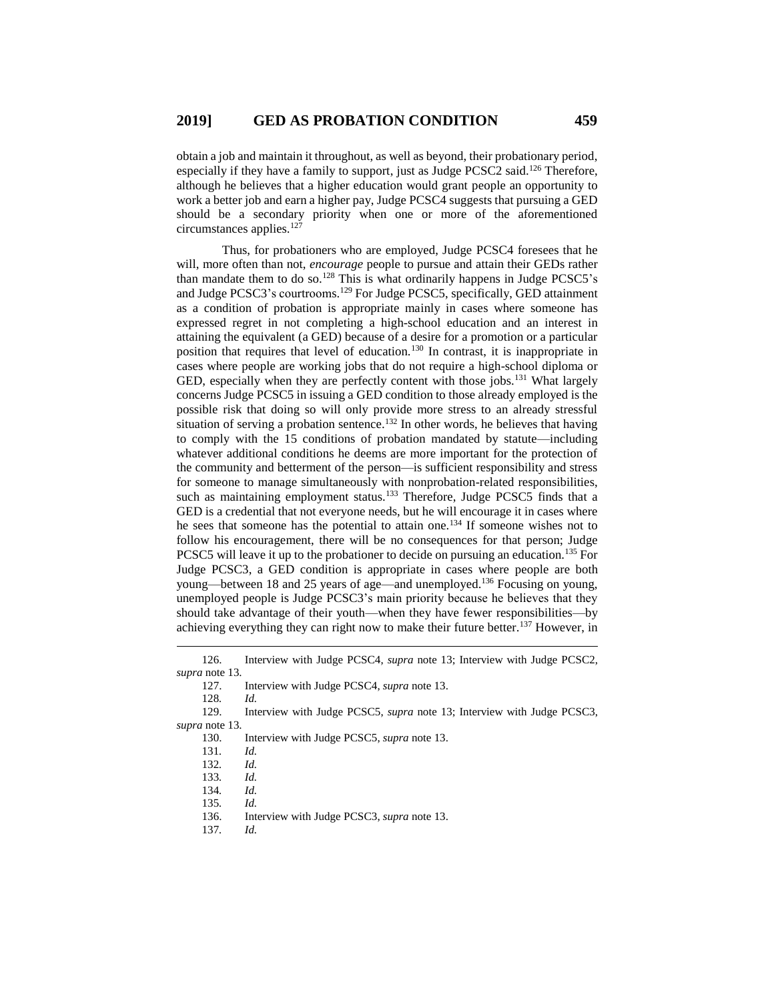obtain a job and maintain it throughout, as well as beyond, their probationary period, especially if they have a family to support, just as Judge PCSC2 said.<sup>126</sup> Therefore, although he believes that a higher education would grant people an opportunity to work a better job and earn a higher pay, Judge PCSC4 suggests that pursuing a GED should be a secondary priority when one or more of the aforementioned circumstances applies.<sup>127</sup>

Thus, for probationers who are employed, Judge PCSC4 foresees that he will, more often than not, *encourage* people to pursue and attain their GEDs rather than mandate them to do so.<sup>128</sup> This is what ordinarily happens in Judge PCSC5's and Judge PCSC3's courtrooms. <sup>129</sup> For Judge PCSC5, specifically, GED attainment as a condition of probation is appropriate mainly in cases where someone has expressed regret in not completing a high-school education and an interest in attaining the equivalent (a GED) because of a desire for a promotion or a particular position that requires that level of education.<sup>130</sup> In contrast, it is inappropriate in cases where people are working jobs that do not require a high-school diploma or GED, especially when they are perfectly content with those jobs.<sup>131</sup> What largely concerns Judge PCSC5 in issuing a GED condition to those already employed is the possible risk that doing so will only provide more stress to an already stressful situation of serving a probation sentence.<sup>132</sup> In other words, he believes that having to comply with the 15 conditions of probation mandated by statute—including whatever additional conditions he deems are more important for the protection of the community and betterment of the person—is sufficient responsibility and stress for someone to manage simultaneously with nonprobation-related responsibilities, such as maintaining employment status.<sup>133</sup> Therefore, Judge PCSC5 finds that a GED is a credential that not everyone needs, but he will encourage it in cases where he sees that someone has the potential to attain one.<sup>134</sup> If someone wishes not to follow his encouragement, there will be no consequences for that person; Judge PCSC5 will leave it up to the probationer to decide on pursuing an education.<sup>135</sup> For Judge PCSC3, a GED condition is appropriate in cases where people are both young—between 18 and 25 years of age—and unemployed.<sup>136</sup> Focusing on young, unemployed people is Judge PCSC3's main priority because he believes that they should take advantage of their youth—when they have fewer responsibilities—by achieving everything they can right now to make their future better.<sup>137</sup> However, in

128*. Id.*

 $\overline{a}$ 

129. Interview with Judge PCSC5, *supra* note 13; Interview with Judge PCSC3, *supra* note 13.

- 130. Interview with Judge PCSC5, *supra* note 13.
- 131*. Id.*
- 132*. Id.*
- 133*. Id.*
- 134*. Id.*
- 135*. Id.*
- 136. Interview with Judge PCSC3, *supra* note 13.
- 137*. Id.*

<sup>126.</sup> Interview with Judge PCSC4, *supra* note 13; Interview with Judge PCSC2, *supra* note 13.

<sup>127.</sup> Interview with Judge PCSC4, *supra* note 13.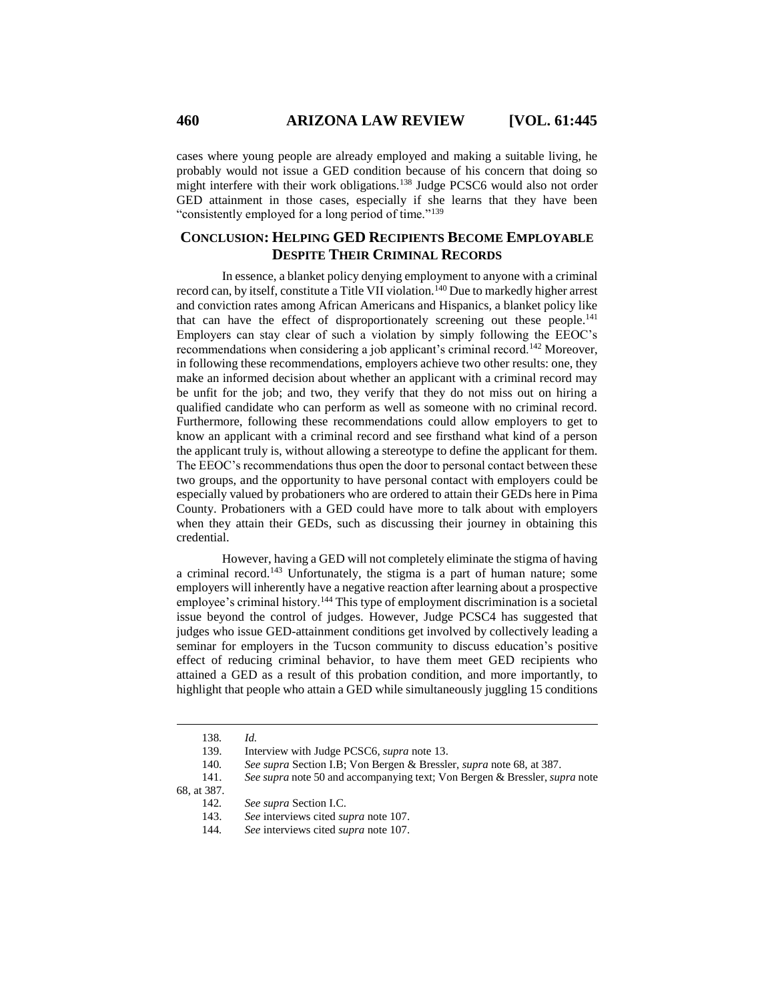cases where young people are already employed and making a suitable living, he probably would not issue a GED condition because of his concern that doing so might interfere with their work obligations.<sup>138</sup> Judge PCSC6 would also not order GED attainment in those cases, especially if she learns that they have been "consistently employed for a long period of time."<sup>139</sup>

# **CONCLUSION: HELPING GED RECIPIENTS BECOME EMPLOYABLE DESPITE THEIR CRIMINAL RECORDS**

In essence, a blanket policy denying employment to anyone with a criminal record can, by itself, constitute a Title VII violation.<sup>140</sup> Due to markedly higher arrest and conviction rates among African Americans and Hispanics, a blanket policy like that can have the effect of disproportionately screening out these people.<sup>141</sup> Employers can stay clear of such a violation by simply following the EEOC's recommendations when considering a job applicant's criminal record.<sup>142</sup> Moreover, in following these recommendations, employers achieve two other results: one, they make an informed decision about whether an applicant with a criminal record may be unfit for the job; and two, they verify that they do not miss out on hiring a qualified candidate who can perform as well as someone with no criminal record. Furthermore, following these recommendations could allow employers to get to know an applicant with a criminal record and see firsthand what kind of a person the applicant truly is, without allowing a stereotype to define the applicant for them. The EEOC's recommendations thus open the door to personal contact between these two groups, and the opportunity to have personal contact with employers could be especially valued by probationers who are ordered to attain their GEDs here in Pima County. Probationers with a GED could have more to talk about with employers when they attain their GEDs, such as discussing their journey in obtaining this credential.

However, having a GED will not completely eliminate the stigma of having a criminal record.<sup>143</sup> Unfortunately, the stigma is a part of human nature; some employers will inherently have a negative reaction after learning about a prospective employee's criminal history.<sup>144</sup> This type of employment discrimination is a societal issue beyond the control of judges. However, Judge PCSC4 has suggested that judges who issue GED-attainment conditions get involved by collectively leading a seminar for employers in the Tucson community to discuss education's positive effect of reducing criminal behavior, to have them meet GED recipients who attained a GED as a result of this probation condition, and more importantly, to highlight that people who attain a GED while simultaneously juggling 15 conditions

 $\overline{a}$ 

144*. See* interviews cited *supra* note 107.

<sup>138</sup>*. Id.*

<sup>139.</sup> Interview with Judge PCSC6, *supra* note 13.

<sup>140</sup>*. See supra* Section I.B; Von Bergen & Bressler, *supra* note 68, at 387.

<sup>141.</sup> *See supra* note 50 and accompanying text; Von Bergen & Bressler, *supra* note

<sup>68,</sup> at 387.

<sup>142</sup>*. See supra* Section I.C.

<sup>143.</sup> *See* interviews cited *supra* note 107.